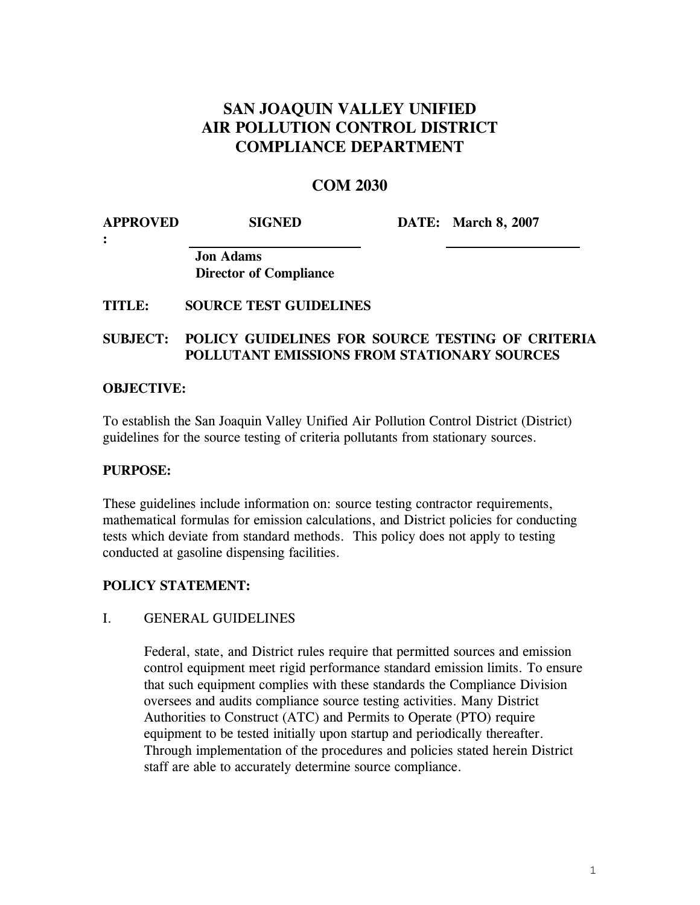# **SAN JOAQUIN VALLEY UNIFIED AIR POLLUTION CONTROL DISTRICT COMPLIANCE DEPARTMENT**

# **COM 2030**

| <b>APPROVED</b> | <b>SIGNED</b> | <b>DATE:</b> March 8, 2007 |
|-----------------|---------------|----------------------------|
|                 |               |                            |

**Jon Adams Director of Compliance** 

# **TITLE: SOURCE TEST GUIDELINES**

# **SUBJECT: POLICY GUIDELINES FOR SOURCE TESTING OF CRITERIA POLLUTANT EMISSIONS FROM STATIONARY SOURCES**

## **OBJECTIVE:**

To establish the San Joaquin Valley Unified Air Pollution Control District (District) guidelines for the source testing of criteria pollutants from stationary sources.

## **PURPOSE:**

These guidelines include information on: source testing contractor requirements, mathematical formulas for emission calculations, and District policies for conducting tests which deviate from standard methods. This policy does not apply to testing conducted at gasoline dispensing facilities.

## **POLICY STATEMENT:**

## I. GENERAL GUIDELINES

Federal, state, and District rules require that permitted sources and emission control equipment meet rigid performance standard emission limits. To ensure that such equipment complies with these standards the Compliance Division oversees and audits compliance source testing activities. Many District Authorities to Construct (ATC) and Permits to Operate (PTO) require equipment to be tested initially upon startup and periodically thereafter. Through implementation of the procedures and policies stated herein District staff are able to accurately determine source compliance.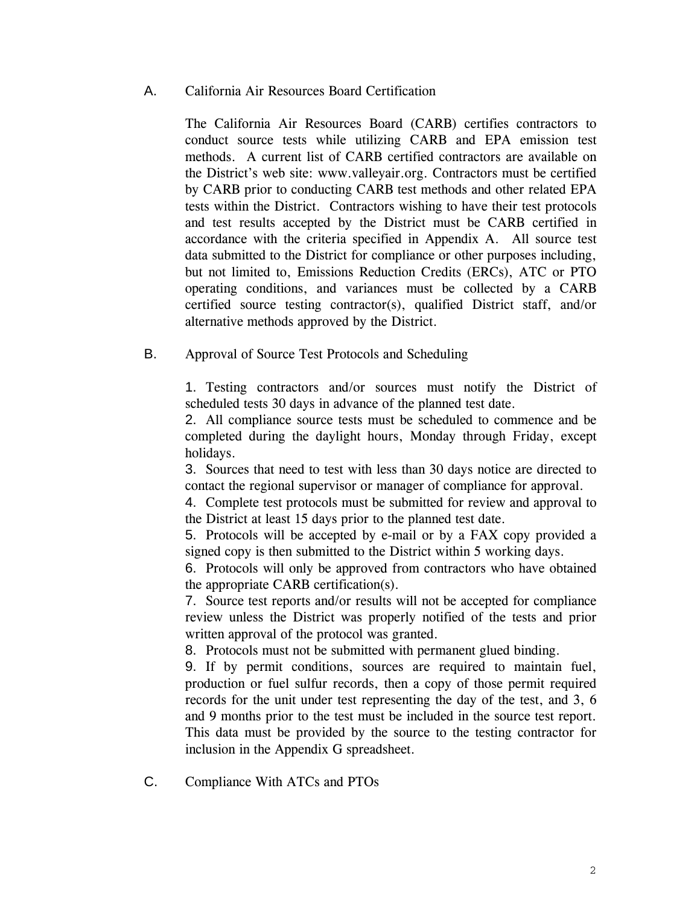# A. California Air Resources Board Certification

The California Air Resources Board (CARB) certifies contractors to conduct source tests while utilizing CARB and EPA emission test methods. A current list of CARB certified contractors are available on the District's web site: [www.valleyair.org](http://www.valleyair.org/). Contractors must be certified by CARB prior to conducting CARB test methods and other related EPA tests within the District. Contractors wishing to have their test protocols and test results accepted by the District must be CARB certified in accordance with the criteria specified in Appendix A. All source test data submitted to the District for compliance or other purposes including, but not limited to, Emissions Reduction Credits (ERCs), ATC or PTO operating conditions, and variances must be collected by a CARB certified source testing contractor(s), qualified District staff, and/or alternative methods approved by the District.

B. Approval of Source Test Protocols and Scheduling

1. Testing contractors and/or sources must notify the District of scheduled tests 30 days in advance of the planned test date.

2. All compliance source tests must be scheduled to commence and be completed during the daylight hours, Monday through Friday, except holidays.

3. Sources that need to test with less than 30 days notice are directed to contact the regional supervisor or manager of compliance for approval.

4. Complete test protocols must be submitted for review and approval to the District at least 15 days prior to the planned test date.

5. Protocols will be accepted by e-mail or by a FAX copy provided a signed copy is then submitted to the District within 5 working days.

6. Protocols will only be approved from contractors who have obtained the appropriate CARB certification(s).

7. Source test reports and/or results will not be accepted for compliance review unless the District was properly notified of the tests and prior written approval of the protocol was granted.

8. Protocols must not be submitted with permanent glued binding.

9. If by permit conditions, sources are required to maintain fuel, production or fuel sulfur records, then a copy of those permit required records for the unit under test representing the day of the test, and 3, 6 and 9 months prior to the test must be included in the source test report. This data must be provided by the source to the testing contractor for inclusion in the Appendix G spreadsheet.

C. Compliance With ATCs and PTOs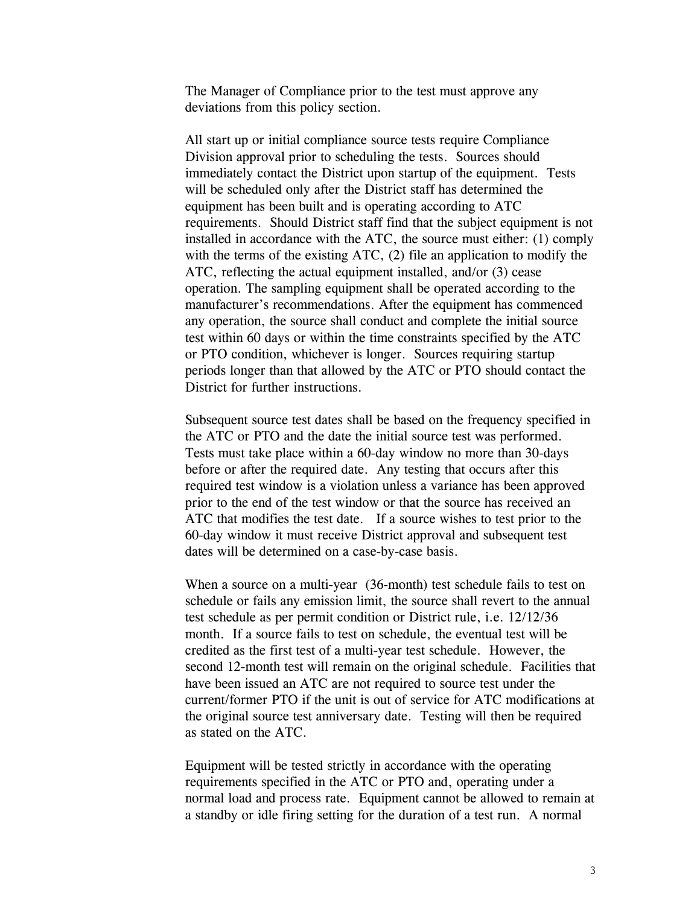The Manager of Compliance prior to the test must approve any deviations from this policy section.

All start up or initial compliance source tests require Compliance Division approval prior to scheduling the tests. Sources should immediately contact the District upon startup of the equipment. Tests will be scheduled only after the District staff has determined the equipment has been built and is operating according to ATC requirements. Should District staff find that the subject equipment is not installed in accordance with the ATC, the source must either: (1) comply with the terms of the existing ATC, (2) file an application to modify the ATC, reflecting the actual equipment installed, and/or (3) cease operation. The sampling equipment shall be operated according to the manufacturer's recommendations. After the equipment has commenced any operation, the source shall conduct and complete the initial source test within 60 days or within the time constraints specified by the ATC or PTO condition, whichever is longer. Sources requiring startup periods longer than that allowed by the ATC or PTO should contact the District for further instructions.

Subsequent source test dates shall be based on the frequency specified in the ATC or PTO and the date the initial source test was performed. Tests must take place within a 60-day window no more than 30-days before or after the required date. Any testing that occurs after this required test window is a violation unless a variance has been approved prior to the end of the test window or that the source has received an ATC that modifies the test date. If a source wishes to test prior to the 60-day window it must receive District approval and subsequent test dates will be determined on a case-by-case basis.

When a source on a multi-year (36-month) test schedule fails to test on schedule or fails any emission limit, the source shall revert to the annual test schedule as per permit condition or District rule, i.e. 12/12/36 month. If a source fails to test on schedule, the eventual test will be credited as the first test of a multi-year test schedule. However, the second 12-month test will remain on the original schedule. Facilities that have been issued an ATC are not required to source test under the current/former PTO if the unit is out of service for ATC modifications at the original source test anniversary date. Testing will then be required as stated on the ATC.

Equipment will be tested strictly in accordance with the operating requirements specified in the ATC or PTO and, operating under a normal load and process rate. Equipment cannot be allowed to remain at a standby or idle firing setting for the duration of a test run. A normal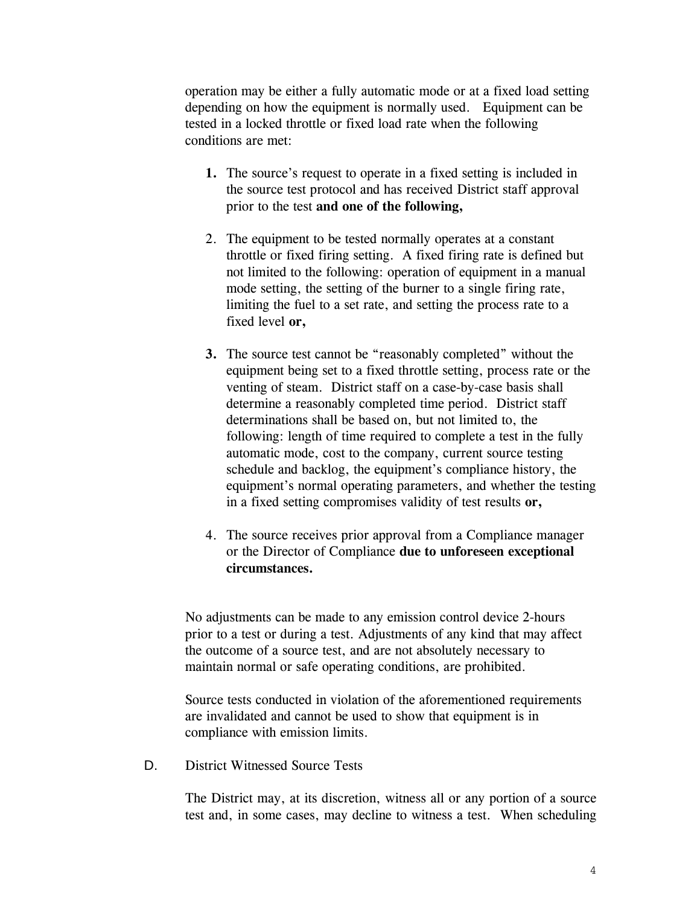operation may be either a fully automatic mode or at a fixed load setting depending on how the equipment is normally used. Equipment can be tested in a locked throttle or fixed load rate when the following conditions are met:

- **1.** The source's request to operate in a fixed setting is included in the source test protocol and has received District staff approval prior to the test **and one of the following,**
- 2. The equipment to be tested normally operates at a constant throttle or fixed firing setting. A fixed firing rate is defined but not limited to the following: operation of equipment in a manual mode setting, the setting of the burner to a single firing rate, limiting the fuel to a set rate, and setting the process rate to a fixed level **or,**
- **3.** The source test cannot be "reasonably completed" without the equipment being set to a fixed throttle setting, process rate or the venting of steam. District staff on a case-by-case basis shall determine a reasonably completed time period. District staff determinations shall be based on, but not limited to, the following: length of time required to complete a test in the fully automatic mode, cost to the company, current source testing schedule and backlog, the equipment's compliance history, the equipment's normal operating parameters, and whether the testing in a fixed setting compromises validity of test results **or,**
- 4. The source receives prior approval from a Compliance manager or the Director of Compliance **due to unforeseen exceptional circumstances.**

No adjustments can be made to any emission control device 2-hours prior to a test or during a test. Adjustments of any kind that may affect the outcome of a source test, and are not absolutely necessary to maintain normal or safe operating conditions, are prohibited.

Source tests conducted in violation of the aforementioned requirements are invalidated and cannot be used to show that equipment is in compliance with emission limits.

D. District Witnessed Source Tests

The District may, at its discretion, witness all or any portion of a source test and, in some cases, may decline to witness a test. When scheduling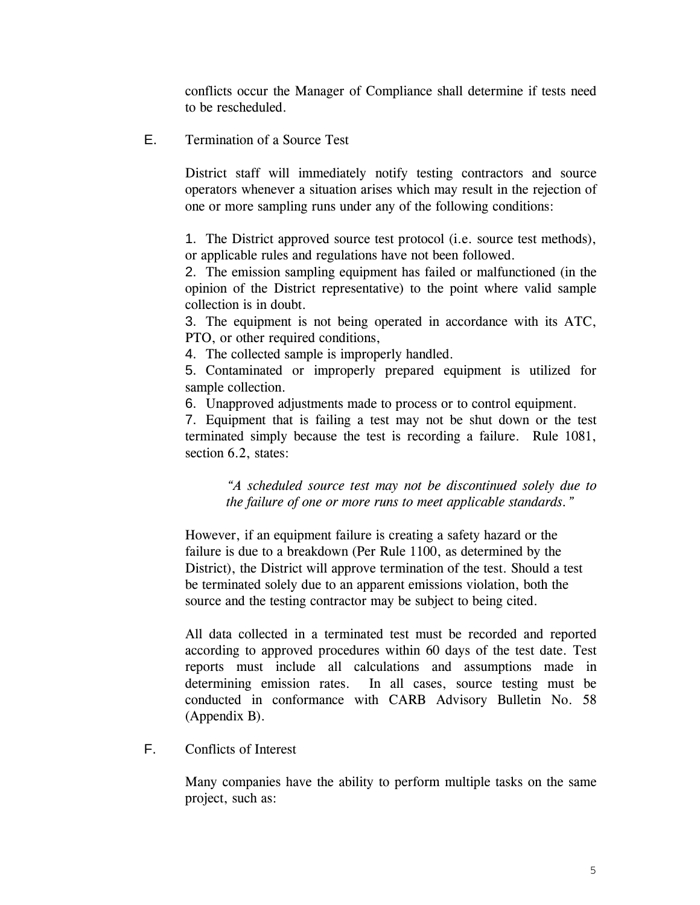conflicts occur the Manager of Compliance shall determine if tests need to be rescheduled.

E. Termination of a Source Test

District staff will immediately notify testing contractors and source operators whenever a situation arises which may result in the rejection of one or more sampling runs under any of the following conditions:

1. The District approved source test protocol (i.e. source test methods), or applicable rules and regulations have not been followed.

2. The emission sampling equipment has failed or malfunctioned (in the opinion of the District representative) to the point where valid sample collection is in doubt.

3. The equipment is not being operated in accordance with its ATC, PTO, or other required conditions,

4. The collected sample is improperly handled.

5. Contaminated or improperly prepared equipment is utilized for sample collection.

6. Unapproved adjustments made to process or to control equipment.

7. Equipment that is failing a test may not be shut down or the test terminated simply because the test is recording a failure. Rule 1081, section 6.2, states:

*"A scheduled source test may not be discontinued solely due to the failure of one or more runs to meet applicable standards."* 

However, if an equipment failure is creating a safety hazard or the failure is due to a breakdown (Per Rule 1100, as determined by the District), the District will approve termination of the test. Should a test be terminated solely due to an apparent emissions violation, both the source and the testing contractor may be subject to being cited.

All data collected in a terminated test must be recorded and reported according to approved procedures within 60 days of the test date. Test reports must include all calculations and assumptions made in determining emission rates. In all cases, source testing must be conducted in conformance with CARB Advisory Bulletin No. 58 (Appendix B).

F. Conflicts of Interest

Many companies have the ability to perform multiple tasks on the same project, such as: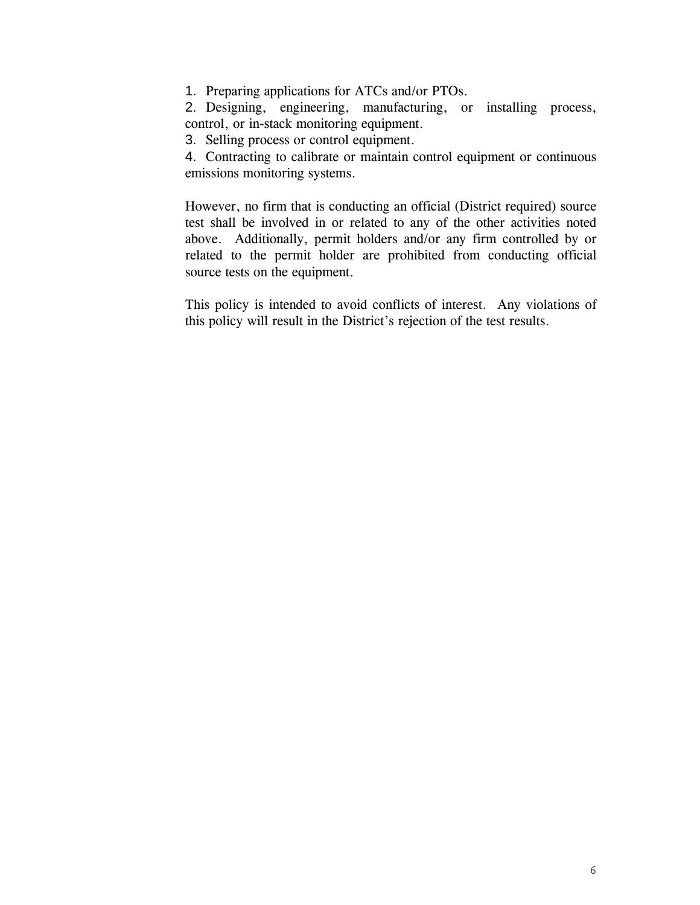1. Preparing applications for ATCs and/or PTOs.

2. Designing, engineering, manufacturing, or installing process, control, or in-stack monitoring equipment.

3. Selling process or control equipment.

4. Contracting to calibrate or maintain control equipment or continuous emissions monitoring systems.

However, no firm that is conducting an official (District required) source test shall be involved in or related to any of the other activities noted above. Additionally, permit holders and/or any firm controlled by or related to the permit holder are prohibited from conducting official source tests on the equipment.

This policy is intended to avoid conflicts of interest. Any violations of this policy will result in the District's rejection of the test results.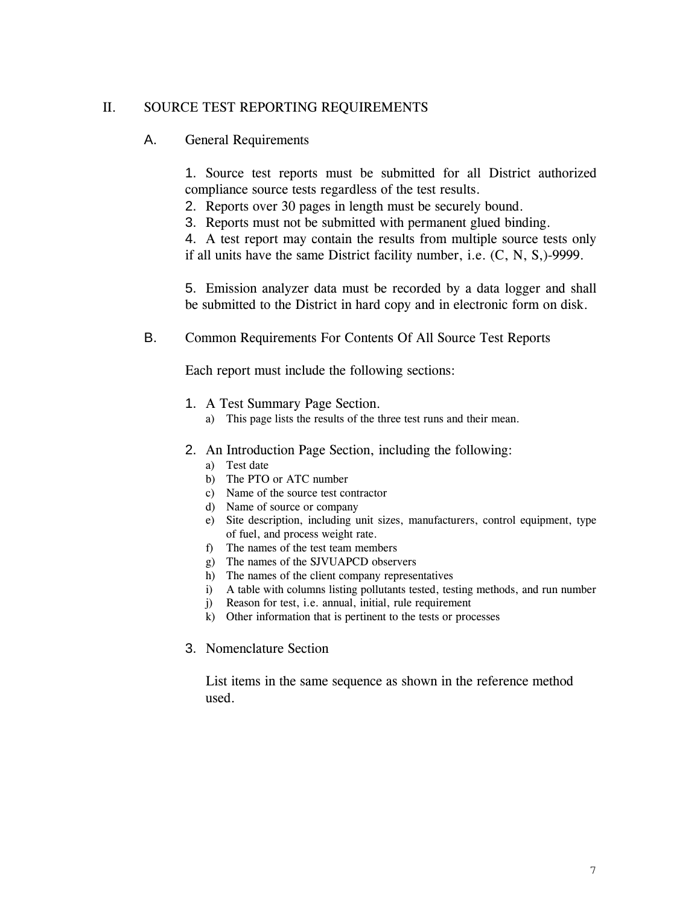# II. SOURCE TEST REPORTING REQUIREMENTS

## A. General Requirements

1. Source test reports must be submitted for all District authorized compliance source tests regardless of the test results.

2. Reports over 30 pages in length must be securely bound.

3. Reports must not be submitted with permanent glued binding.

4. A test report may contain the results from multiple source tests only if all units have the same District facility number, i.e. (C, N, S,)-9999.

5. Emission analyzer data must be recorded by a data logger and shall be submitted to the District in hard copy and in electronic form on disk.

#### B. Common Requirements For Contents Of All Source Test Reports

Each report must include the following sections:

- 1. A Test Summary Page Section.
	- a) This page lists the results of the three test runs and their mean.
- 2. An Introduction Page Section, including the following:
	- a) Test date
	- b) The PTO or ATC number
	- c) Name of the source test contractor
	- d) Name of source or company
	- e) Site description, including unit sizes, manufacturers, control equipment, type of fuel, and process weight rate.
	- f) The names of the test team members
	- g) The names of the SJVUAPCD observers
	- h) The names of the client company representatives
	- i) A table with columns listing pollutants tested, testing methods, and run number
	- j) Reason for test, i.e. annual, initial, rule requirement
	- k) Other information that is pertinent to the tests or processes
- 3. Nomenclature Section

List items in the same sequence as shown in the reference method used.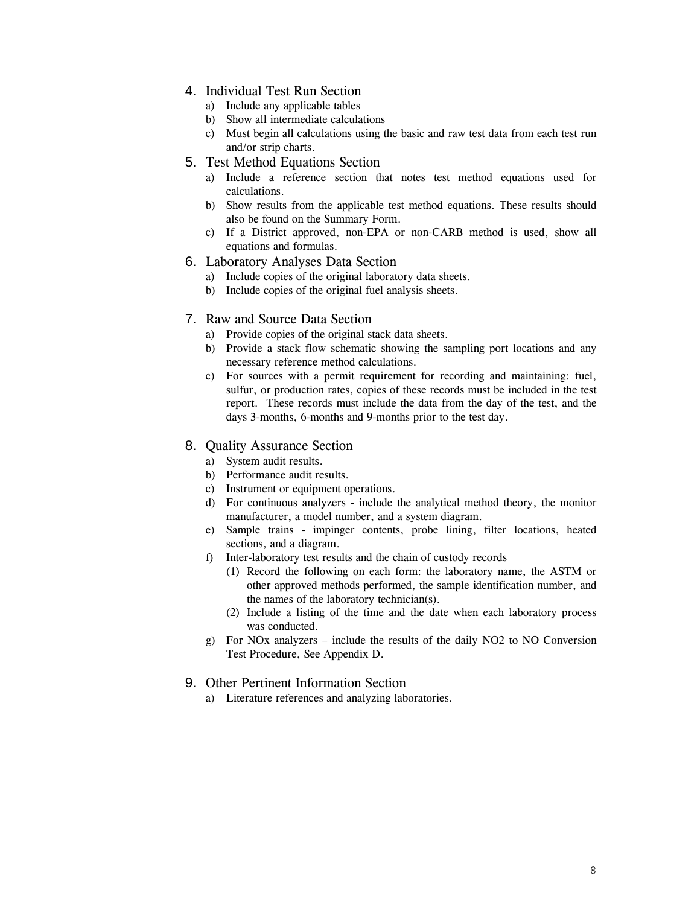## 4. Individual Test Run Section

- a) Include any applicable tables
- b) Show all intermediate calculations
- c) Must begin all calculations using the basic and raw test data from each test run and/or strip charts.

#### 5. Test Method Equations Section

- a) Include a reference section that notes test method equations used for calculations.
- b) Show results from the applicable test method equations. These results should also be found on the Summary Form.
- c) If a District approved, non-EPA or non-CARB method is used, show all equations and formulas.

#### 6. Laboratory Analyses Data Section

- a) Include copies of the original laboratory data sheets.
- b) Include copies of the original fuel analysis sheets.

#### 7. Raw and Source Data Section

- a) Provide copies of the original stack data sheets.
- b) Provide a stack flow schematic showing the sampling port locations and any necessary reference method calculations.
- c) For sources with a permit requirement for recording and maintaining: fuel, sulfur, or production rates, copies of these records must be included in the test report. These records must include the data from the day of the test, and the days 3-months, 6-months and 9-months prior to the test day.

#### 8. Quality Assurance Section

- a) System audit results.
- b) Performance audit results.
- c) Instrument or equipment operations.
- d) For continuous analyzers include the analytical method theory, the monitor manufacturer, a model number, and a system diagram.
- e) Sample trains impinger contents, probe lining, filter locations, heated sections, and a diagram.
- f) Inter-laboratory test results and the chain of custody records
	- (1) Record the following on each form: the laboratory name, the ASTM or other approved methods performed, the sample identification number, and the names of the laboratory technician(s).
	- (2) Include a listing of the time and the date when each laboratory process was conducted.
- g) For NOx analyzers include the results of the daily NO2 to NO Conversion Test Procedure, See Appendix D.

#### 9. Other Pertinent Information Section

a) Literature references and analyzing laboratories.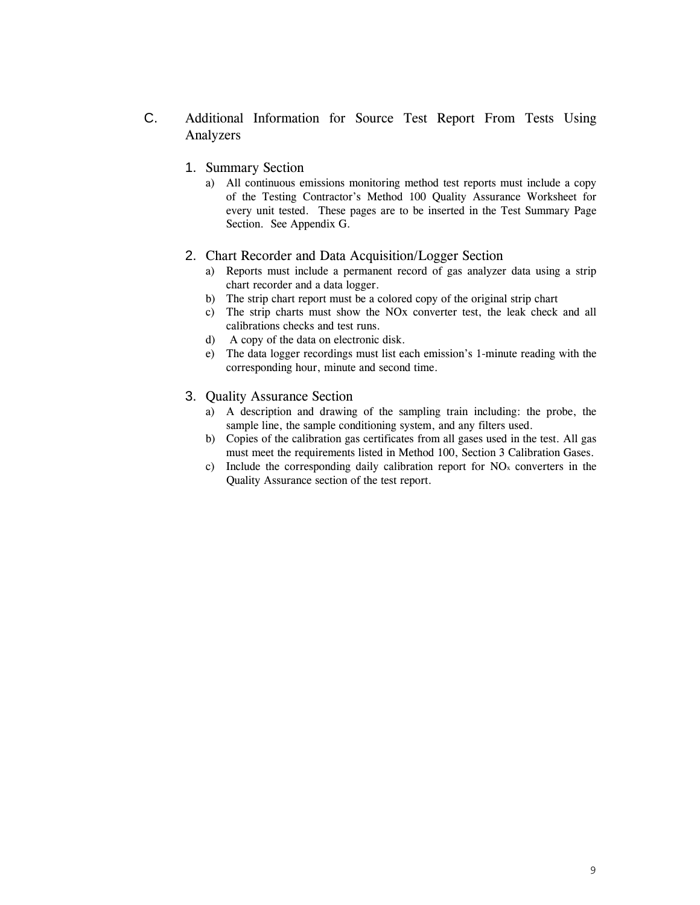- C. Additional Information for Source Test Report From Tests Using Analyzers
	- 1. Summary Section
		- a) All continuous emissions monitoring method test reports must include a copy of the Testing Contractor's Method 100 Quality Assurance Worksheet for every unit tested. These pages are to be inserted in the Test Summary Page Section. See Appendix G.

#### 2. Chart Recorder and Data Acquisition/Logger Section

- a) Reports must include a permanent record of gas analyzer data using a strip chart recorder and a data logger.
- b) The strip chart report must be a colored copy of the original strip chart
- c) The strip charts must show the NOx converter test, the leak check and all calibrations checks and test runs.
- d) A copy of the data on electronic disk.
- e) The data logger recordings must list each emission's 1-minute reading with the corresponding hour, minute and second time.
- 3. Quality Assurance Section
	- a) A description and drawing of the sampling train including: the probe, the sample line, the sample conditioning system, and any filters used.
	- b) Copies of the calibration gas certificates from all gases used in the test. All gas must meet the requirements listed in Method 100, Section 3 Calibration Gases.
	- c) Include the corresponding daily calibration report for  $NO<sub>x</sub>$  converters in the Quality Assurance section of the test report.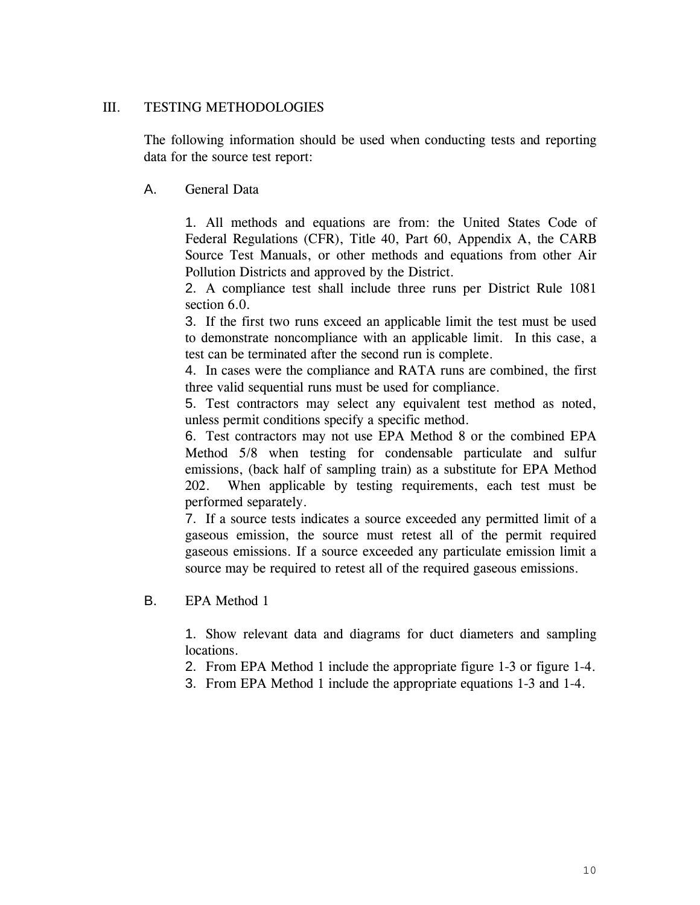# III. TESTING METHODOLOGIES

The following information should be used when conducting tests and reporting data for the source test report:

# A. General Data

1. All methods and equations are from: the United States Code of Federal Regulations (CFR), Title 40, Part 60, Appendix A, the CARB Source Test Manuals, or other methods and equations from other Air Pollution Districts and approved by the District.

2. A compliance test shall include three runs per District Rule 1081 section 6.0.

3. If the first two runs exceed an applicable limit the test must be used to demonstrate noncompliance with an applicable limit. In this case, a test can be terminated after the second run is complete.

4. In cases were the compliance and RATA runs are combined, the first three valid sequential runs must be used for compliance.

5. Test contractors may select any equivalent test method as noted, unless permit conditions specify a specific method.

6. Test contractors may not use EPA Method 8 or the combined EPA Method 5/8 when testing for condensable particulate and sulfur emissions, (back half of sampling train) as a substitute for EPA Method 202. When applicable by testing requirements, each test must be performed separately.

7. If a source tests indicates a source exceeded any permitted limit of a gaseous emission, the source must retest all of the permit required gaseous emissions. If a source exceeded any particulate emission limit a source may be required to retest all of the required gaseous emissions.

## B. EPA Method 1

1. Show relevant data and diagrams for duct diameters and sampling locations.

2. From EPA Method 1 include the appropriate figure 1-3 or figure 1-4.

3. From EPA Method 1 include the appropriate equations 1-3 and 1-4.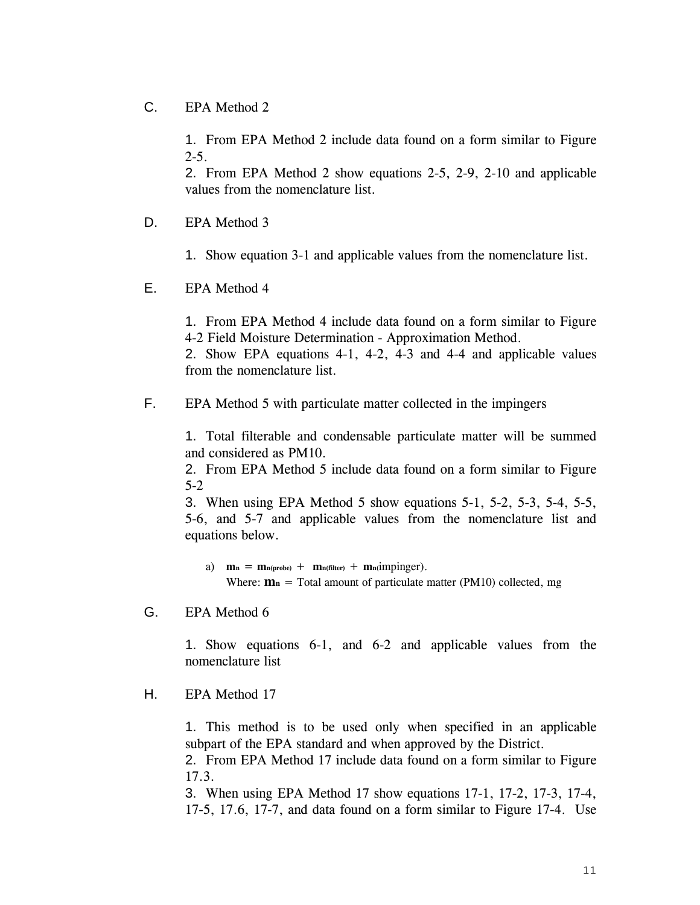## C. EPA Method 2

1. From EPA Method 2 include data found on a form similar to Figure  $2 - 5$ .

2. From EPA Method 2 show equations 2-5, 2-9, 2-10 and applicable values from the nomenclature list.

- D. EPA Method 3
	- 1. Show equation 3-1 and applicable values from the nomenclature list.
- E. EPA Method 4

1. From EPA Method 4 include data found on a form similar to Figure 4-2 Field Moisture Determination - Approximation Method.

2. Show EPA equations 4-1, 4-2, 4-3 and 4-4 and applicable values from the nomenclature list.

F. EPA Method 5 with particulate matter collected in the impingers

1. Total filterable and condensable particulate matter will be summed and considered as PM10.

2. From EPA Method 5 include data found on a form similar to Figure 5-2

3. When using EPA Method 5 show equations 5-1, 5-2, 5-3, 5-4, 5-5, 5-6, and 5-7 and applicable values from the nomenclature list and equations below.

a)  $m_n = m_{n(probe)} + m_{n(filter)} + m_{n}(impinger)$ . Where:  $\mathbf{m}_n$  = Total amount of particulate matter (PM10) collected, mg

G. EPA Method 6

1. Show equations 6-1, and 6-2 and applicable values from the nomenclature list

H. EPA Method 17

1. This method is to be used only when specified in an applicable subpart of the EPA standard and when approved by the District.

2. From EPA Method 17 include data found on a form similar to Figure 17.3.

3. When using EPA Method 17 show equations 17-1, 17-2, 17-3, 17-4, 17-5, 17.6, 17-7, and data found on a form similar to Figure 17-4. Use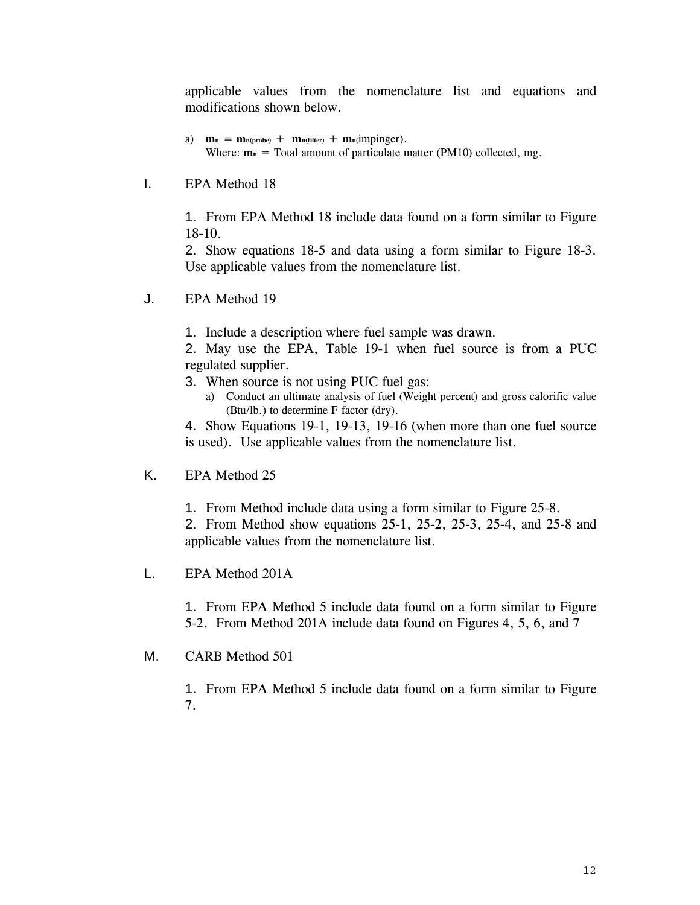applicable values from the nomenclature list and equations and modifications shown below.

- a)  $m_n = m_{n(probe)} + m_{n(filter)} + m_{n}(impinger)$ . Where:  $\mathbf{m}_n$  = Total amount of particulate matter (PM10) collected, mg.
- I. EPA Method 18

1. From EPA Method 18 include data found on a form similar to Figure 18-10.

2. Show equations 18-5 and data using a form similar to Figure 18-3. Use applicable values from the nomenclature list.

- J. EPA Method 19
	- 1. Include a description where fuel sample was drawn.

2. May use the EPA, Table 19-1 when fuel source is from a PUC regulated supplier.

- 3. When source is not using PUC fuel gas:
	- a) Conduct an ultimate analysis of fuel (Weight percent) and gross calorific value (Btu/lb.) to determine F factor (dry).

4. Show Equations 19-1, 19-13, 19-16 (when more than one fuel source is used). Use applicable values from the nomenclature list.

- K. EPA Method 25
	- 1. From Method include data using a form similar to Figure 25-8.

2. From Method show equations 25-1, 25-2, 25-3, 25-4, and 25-8 and applicable values from the nomenclature list.

L. EPA Method 201A

1. From EPA Method 5 include data found on a form similar to Figure 5-2. From Method 201A include data found on Figures 4, 5, 6, and 7

## M. CARB Method 501

1. From EPA Method 5 include data found on a form similar to Figure 7.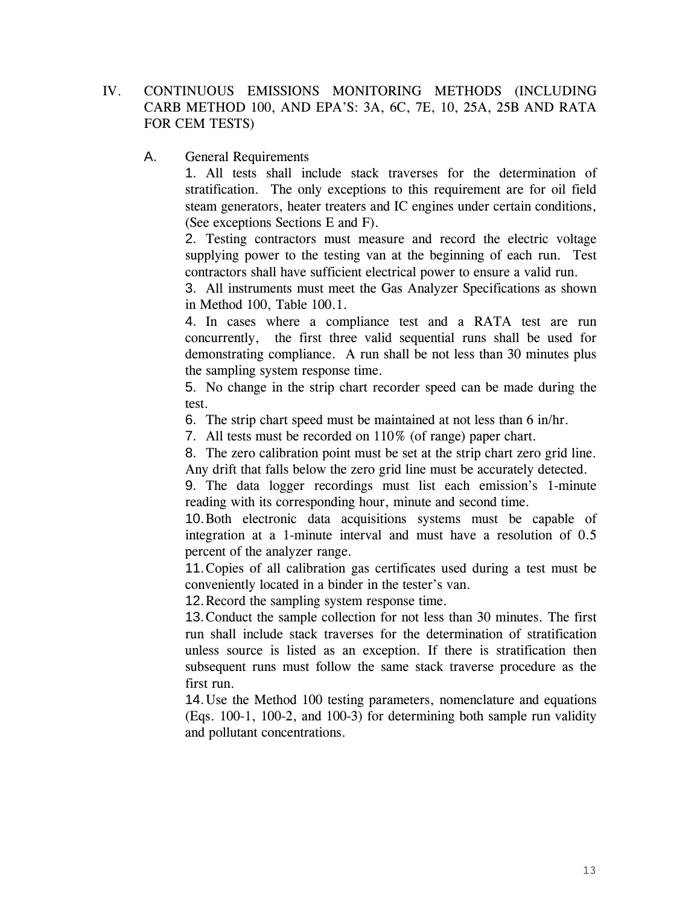- IV. CONTINUOUS EMISSIONS MONITORING METHODS (INCLUDING CARB METHOD 100, AND EPA'S: 3A, 6C, 7E, 10, 25A, 25B AND RATA FOR CEM TESTS)
	- A. General Requirements

1. All tests shall include stack traverses for the determination of stratification. The only exceptions to this requirement are for oil field steam generators, heater treaters and IC engines under certain conditions, (See exceptions Sections E and F).

2. Testing contractors must measure and record the electric voltage supplying power to the testing van at the beginning of each run. Test contractors shall have sufficient electrical power to ensure a valid run.

3. All instruments must meet the Gas Analyzer Specifications as shown in Method 100, Table 100.1.

4. In cases where a compliance test and a RATA test are run concurrently, the first three valid sequential runs shall be used for demonstrating compliance. A run shall be not less than 30 minutes plus the sampling system response time.

5. No change in the strip chart recorder speed can be made during the test.

6. The strip chart speed must be maintained at not less than 6 in/hr.

7. All tests must be recorded on 110% (of range) paper chart.

8. The zero calibration point must be set at the strip chart zero grid line. Any drift that falls below the zero grid line must be accurately detected.

9. The data logger recordings must list each emission's 1-minute reading with its corresponding hour, minute and second time.

10. Both electronic data acquisitions systems must be capable of integration at a 1-minute interval and must have a resolution of 0.5 percent of the analyzer range.

11. Copies of all calibration gas certificates used during a test must be conveniently located in a binder in the tester's van.

12. Record the sampling system response time.

13. Conduct the sample collection for not less than 30 minutes. The first run shall include stack traverses for the determination of stratification unless source is listed as an exception. If there is stratification then subsequent runs must follow the same stack traverse procedure as the first run.

14. Use the Method 100 testing parameters, nomenclature and equations (Eqs. 100-1, 100-2, and 100-3) for determining both sample run validity and pollutant concentrations.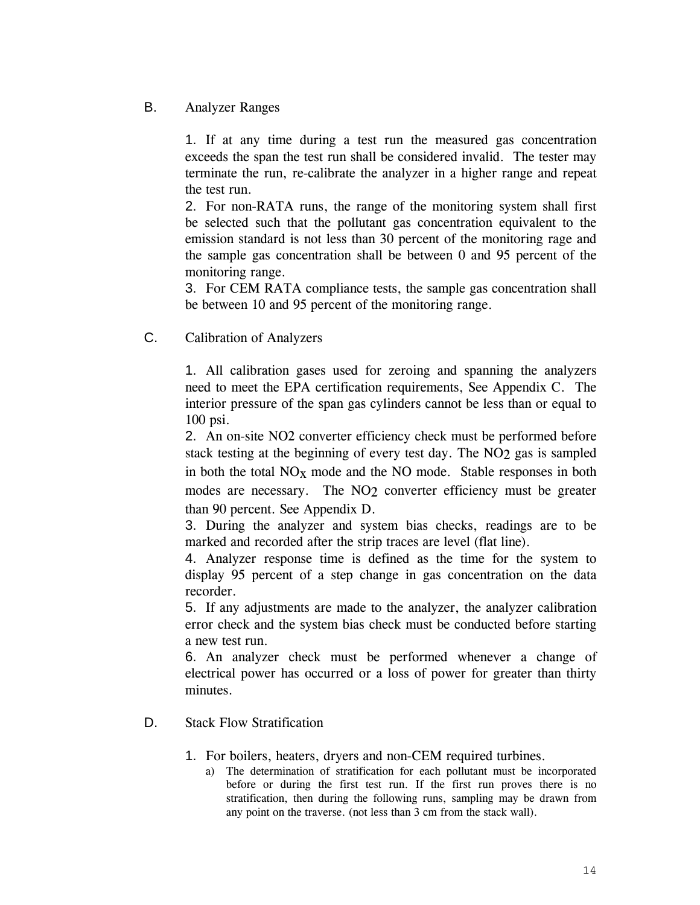# B. Analyzer Ranges

1. If at any time during a test run the measured gas concentration exceeds the span the test run shall be considered invalid. The tester may terminate the run, re-calibrate the analyzer in a higher range and repeat the test run.

2. For non-RATA runs, the range of the monitoring system shall first be selected such that the pollutant gas concentration equivalent to the emission standard is not less than 30 percent of the monitoring rage and the sample gas concentration shall be between 0 and 95 percent of the monitoring range.

3. For CEM RATA compliance tests, the sample gas concentration shall be between 10 and 95 percent of the monitoring range.

C. Calibration of Analyzers

1. All calibration gases used for zeroing and spanning the analyzers need to meet the EPA certification requirements, See Appendix C. The interior pressure of the span gas cylinders cannot be less than or equal to 100 psi.

2. An on-site NO2 converter efficiency check must be performed before stack testing at the beginning of every test day. The NO<sub>2</sub> gas is sampled in both the total  $NO<sub>x</sub>$  mode and the NO mode. Stable responses in both modes are necessary. The NO<sub>2</sub> converter efficiency must be greater than 90 percent. See Appendix D.

3. During the analyzer and system bias checks, readings are to be marked and recorded after the strip traces are level (flat line).

4. Analyzer response time is defined as the time for the system to display 95 percent of a step change in gas concentration on the data recorder.

5. If any adjustments are made to the analyzer, the analyzer calibration error check and the system bias check must be conducted before starting a new test run.

6. An analyzer check must be performed whenever a change of electrical power has occurred or a loss of power for greater than thirty minutes.

- D. Stack Flow Stratification
	- 1. For boilers, heaters, dryers and non-CEM required turbines.
		- a) The determination of stratification for each pollutant must be incorporated before or during the first test run. If the first run proves there is no stratification, then during the following runs, sampling may be drawn from any point on the traverse. (not less than 3 cm from the stack wall).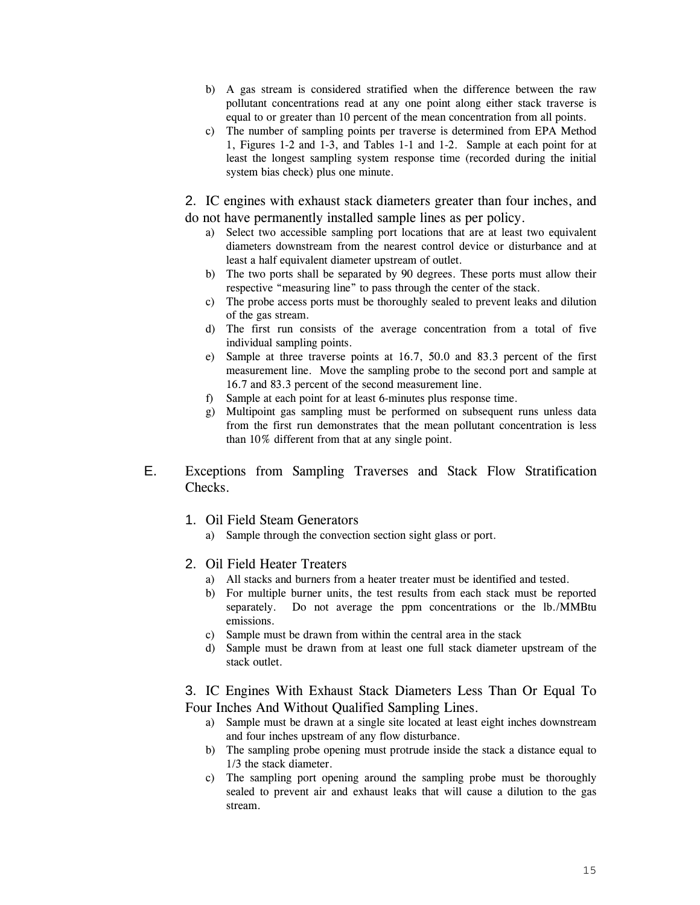- b) A gas stream is considered stratified when the difference between the raw pollutant concentrations read at any one point along either stack traverse is equal to or greater than 10 percent of the mean concentration from all points.
- c) The number of sampling points per traverse is determined from EPA Method 1, Figures 1-2 and 1-3, and Tables 1-1 and 1-2. Sample at each point for at least the longest sampling system response time (recorded during the initial system bias check) plus one minute.

2. IC engines with exhaust stack diameters greater than four inches, and do not have permanently installed sample lines as per policy.

- a) Select two accessible sampling port locations that are at least two equivalent diameters downstream from the nearest control device or disturbance and at least a half equivalent diameter upstream of outlet.
- b) The two ports shall be separated by 90 degrees. These ports must allow their respective "measuring line" to pass through the center of the stack.
- c) The probe access ports must be thoroughly sealed to prevent leaks and dilution of the gas stream.
- d) The first run consists of the average concentration from a total of five individual sampling points.
- e) Sample at three traverse points at 16.7, 50.0 and 83.3 percent of the first measurement line. Move the sampling probe to the second port and sample at 16.7 and 83.3 percent of the second measurement line.
- f) Sample at each point for at least 6-minutes plus response time.
- g) Multipoint gas sampling must be performed on subsequent runs unless data from the first run demonstrates that the mean pollutant concentration is less than 10% different from that at any single point.
- E. Exceptions from Sampling Traverses and Stack Flow Stratification Checks.
	- 1. Oil Field Steam Generators
		- a) Sample through the convection section sight glass or port.

## 2. Oil Field Heater Treaters

- a) All stacks and burners from a heater treater must be identified and tested.
- b) For multiple burner units, the test results from each stack must be reported separately. Do not average the ppm concentrations or the lb./MMBtu emissions.
- c) Sample must be drawn from within the central area in the stack
- d) Sample must be drawn from at least one full stack diameter upstream of the stack outlet.

3. IC Engines With Exhaust Stack Diameters Less Than Or Equal To Four Inches And Without Qualified Sampling Lines.

- a) Sample must be drawn at a single site located at least eight inches downstream and four inches upstream of any flow disturbance.
- b) The sampling probe opening must protrude inside the stack a distance equal to 1/3 the stack diameter.
- c) The sampling port opening around the sampling probe must be thoroughly sealed to prevent air and exhaust leaks that will cause a dilution to the gas stream.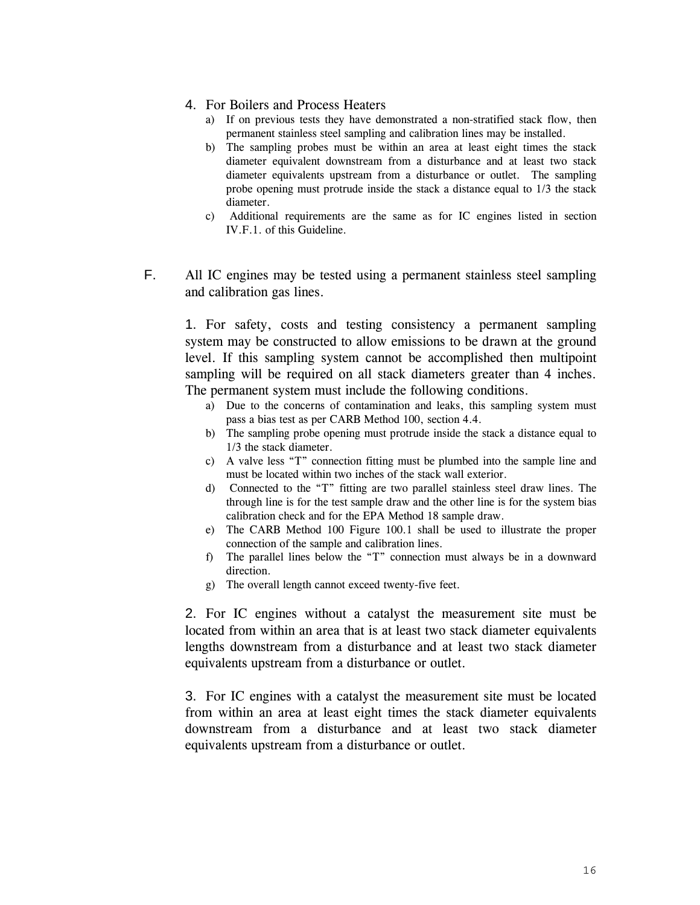#### 4. For Boilers and Process Heaters

- a) If on previous tests they have demonstrated a non-stratified stack flow, then permanent stainless steel sampling and calibration lines may be installed.
- b) The sampling probes must be within an area at least eight times the stack diameter equivalent downstream from a disturbance and at least two stack diameter equivalents upstream from a disturbance or outlet. The sampling probe opening must protrude inside the stack a distance equal to 1/3 the stack diameter.
- c) Additional requirements are the same as for IC engines listed in section IV.F.1. of this Guideline.
- F. All IC engines may be tested using a permanent stainless steel sampling and calibration gas lines.

1. For safety, costs and testing consistency a permanent sampling system may be constructed to allow emissions to be drawn at the ground level. If this sampling system cannot be accomplished then multipoint sampling will be required on all stack diameters greater than 4 inches. The permanent system must include the following conditions.

- a) Due to the concerns of contamination and leaks, this sampling system must pass a bias test as per CARB Method 100, section 4.4.
- b) The sampling probe opening must protrude inside the stack a distance equal to 1/3 the stack diameter.
- c) A valve less "T" connection fitting must be plumbed into the sample line and must be located within two inches of the stack wall exterior.
- d) Connected to the "T" fitting are two parallel stainless steel draw lines. The through line is for the test sample draw and the other line is for the system bias calibration check and for the EPA Method 18 sample draw.
- e) The CARB Method 100 Figure 100.1 shall be used to illustrate the proper connection of the sample and calibration lines.
- f) The parallel lines below the "T" connection must always be in a downward direction.
- g) The overall length cannot exceed twenty-five feet.

2. For IC engines without a catalyst the measurement site must be located from within an area that is at least two stack diameter equivalents lengths downstream from a disturbance and at least two stack diameter equivalents upstream from a disturbance or outlet.

3. For IC engines with a catalyst the measurement site must be located from within an area at least eight times the stack diameter equivalents downstream from a disturbance and at least two stack diameter equivalents upstream from a disturbance or outlet.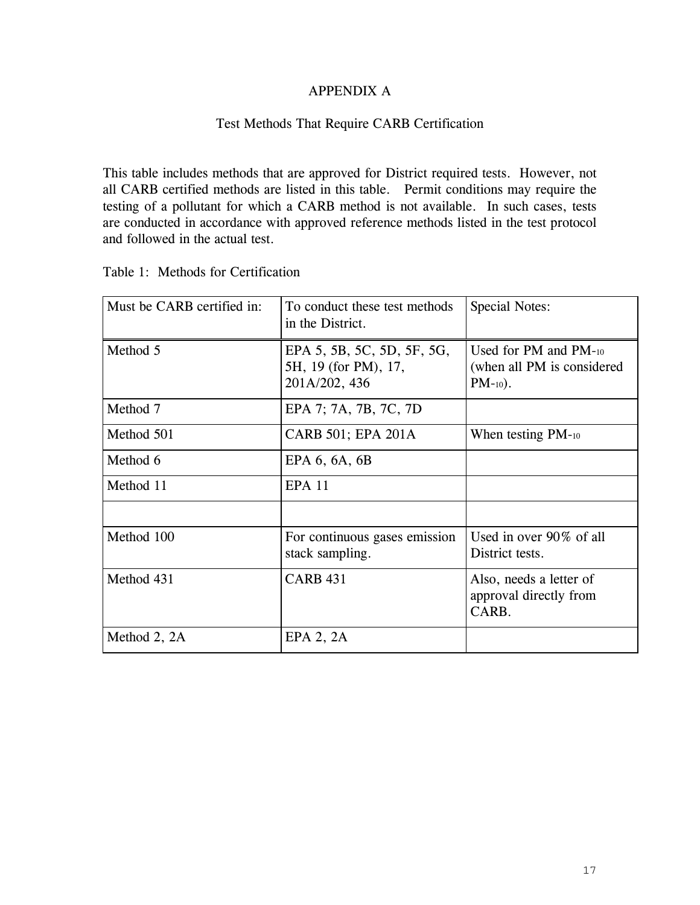# APPENDIX A

# Test Methods That Require CARB Certification

This table includes methods that are approved for District required tests. However, not all CARB certified methods are listed in this table. Permit conditions may require the testing of a pollutant for which a CARB method is not available. In such cases, tests are conducted in accordance with approved reference methods listed in the test protocol and followed in the actual test.

| Must be CARB certified in: | To conduct these test methods<br>in the District.                   | <b>Special Notes:</b>                                                 |
|----------------------------|---------------------------------------------------------------------|-----------------------------------------------------------------------|
| Method 5                   | EPA 5, 5B, 5C, 5D, 5F, 5G,<br>5H, 19 (for PM), 17,<br>201A/202, 436 | Used for PM and $PM_{-10}$<br>(when all PM is considered<br>$PM-10$ . |
| Method 7                   | EPA 7; 7A, 7B, 7C, 7D                                               |                                                                       |
| Method 501                 | CARB 501; EPA 201A                                                  | When testing $PM_{-10}$                                               |
| Method 6                   | EPA 6, 6A, 6B                                                       |                                                                       |
| Method 11                  | <b>EPA 11</b>                                                       |                                                                       |
| Method 100                 | For continuous gases emission<br>stack sampling.                    | Used in over $90\%$ of all<br>District tests.                         |
| Method 431                 | <b>CARB 431</b>                                                     | Also, needs a letter of<br>approval directly from<br>CARB.            |
| Method 2, 2A               | EPA 2, 2A                                                           |                                                                       |

Table 1: Methods for Certification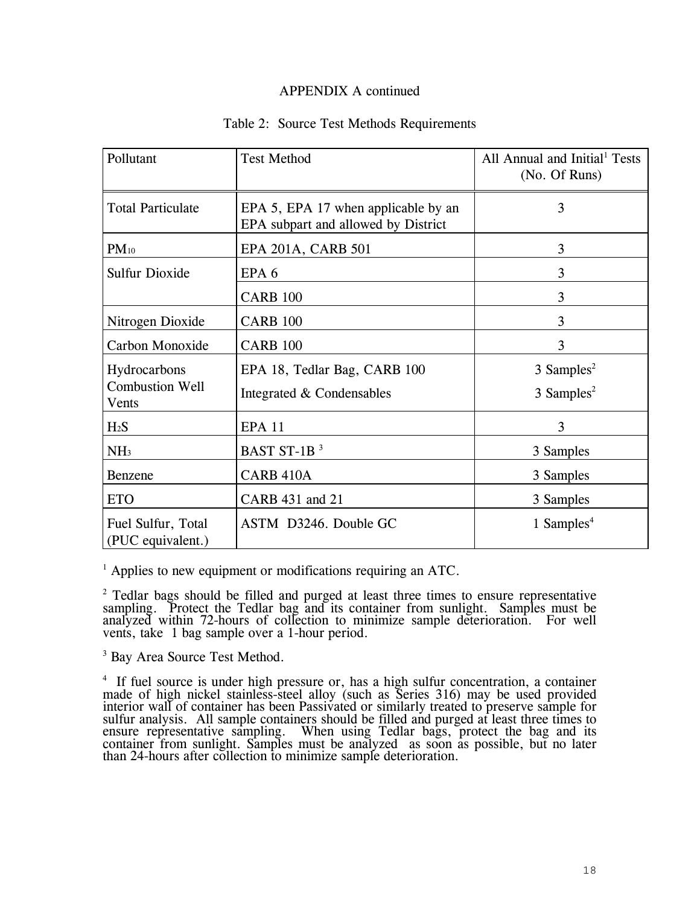#### APPENDIX A continued

#### Table 2: Source Test Methods Requirements

| Pollutant                                       | <b>Test Method</b>                                                         | All Annual and Initial <sup>1</sup> Tests<br>(No. Of Runs) |
|-------------------------------------------------|----------------------------------------------------------------------------|------------------------------------------------------------|
| <b>Total Particulate</b>                        | EPA 5, EPA 17 when applicable by an<br>EPA subpart and allowed by District | 3                                                          |
| $PM_{10}$                                       | EPA 201A, CARB 501                                                         | 3                                                          |
| <b>Sulfur Dioxide</b>                           | EPA <sub>6</sub>                                                           | 3                                                          |
|                                                 | <b>CARB 100</b>                                                            | 3                                                          |
| Nitrogen Dioxide                                | <b>CARB 100</b>                                                            | 3                                                          |
| Carbon Monoxide                                 | <b>CARB 100</b>                                                            | 3                                                          |
| Hydrocarbons<br><b>Combustion Well</b><br>Vents | EPA 18, Tedlar Bag, CARB 100<br>Integrated & Condensables                  | $3$ Samples <sup>2</sup><br>3 Samples <sup>2</sup>         |
| H <sub>2</sub> S                                | <b>EPA 11</b>                                                              | 3                                                          |
| NH <sub>3</sub>                                 | BAST ST-1B <sup>3</sup>                                                    | 3 Samples                                                  |
| Benzene                                         | CARB 410A                                                                  | 3 Samples                                                  |
| <b>ETO</b>                                      | CARB 431 and 21                                                            | 3 Samples                                                  |
| Fuel Sulfur, Total<br>(PUC equivalent.)         | ASTM D3246. Double GC                                                      | 1 Samples <sup>4</sup>                                     |

<sup>1</sup> Applies to new equipment or modifications requiring an ATC.

 $2$  Tedlar bags should be filled and purged at least three times to ensure representative sampling. Protect the Tedlar bag and its container from sunlight. Samples must be analyzed within 72-hours of collection to minimize sample deterioration. For well vents, take 1 bag sample over a 1-hour period.

<sup>3</sup> Bay Area Source Test Method.

<sup>4</sup> If fuel source is under high pressure or, has a high sulfur concentration, a container made of high nickel stainless-steel alloy (such as Series 316) may be used provided<br>interior wall of container has been Passivated or similarly treated to preserve sample for<br>sulfur analysis. All sample containers should b ensure representative sampling. When using Tedlar bags, protect the bag and its container from sunlight. Samples must be analyzed as soon as possible, but no later than 24-hours after collection to minimize sample deterior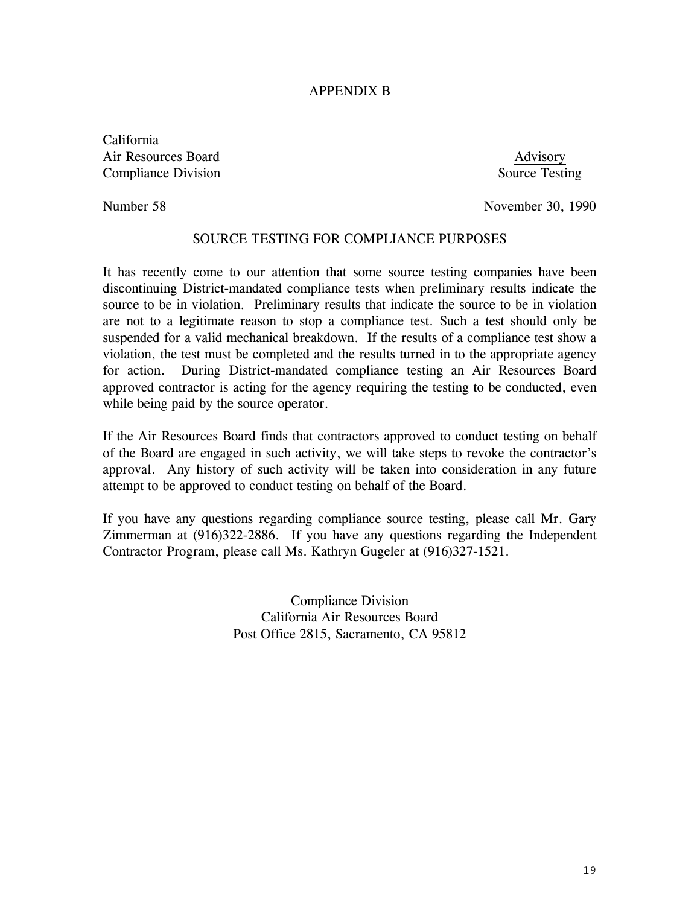# APPENDIX B

California Air Resources Board and a state of the state of the Advisory Advisory **Compliance Division** Source Testing

Number 58 November 30, 1990

## SOURCE TESTING FOR COMPLIANCE PURPOSES

It has recently come to our attention that some source testing companies have been discontinuing District-mandated compliance tests when preliminary results indicate the source to be in violation. Preliminary results that indicate the source to be in violation are not to a legitimate reason to stop a compliance test. Such a test should only be suspended for a valid mechanical breakdown. If the results of a compliance test show a violation, the test must be completed and the results turned in to the appropriate agency for action. During District-mandated compliance testing an Air Resources Board approved contractor is acting for the agency requiring the testing to be conducted, even while being paid by the source operator.

If the Air Resources Board finds that contractors approved to conduct testing on behalf of the Board are engaged in such activity, we will take steps to revoke the contractor's approval. Any history of such activity will be taken into consideration in any future attempt to be approved to conduct testing on behalf of the Board.

If you have any questions regarding compliance source testing, please call Mr. Gary Zimmerman at (916)322-2886. If you have any questions regarding the Independent Contractor Program, please call Ms. Kathryn Gugeler at (916)327-1521.

> Compliance Division California Air Resources Board Post Office 2815, Sacramento, CA 95812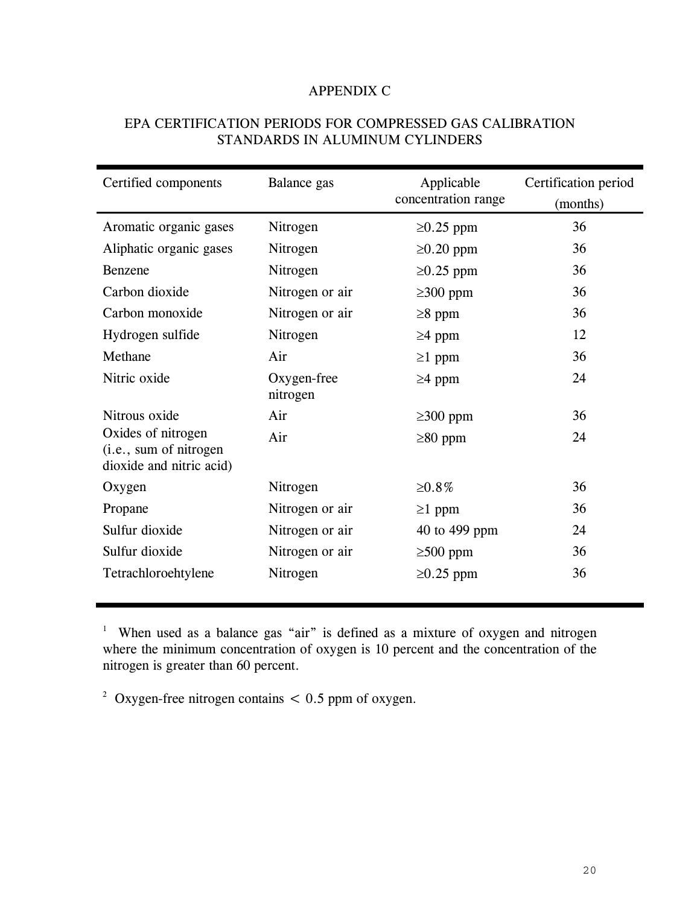# APPENDIX C

| EPA CERTIFICATION PERIODS FOR COMPRESSED GAS CALIBRATION |
|----------------------------------------------------------|
| STANDARDS IN ALUMINUM CYLINDERS                          |

| Certified components                                                     | Balance gas             | Applicable          | Certification period |  |
|--------------------------------------------------------------------------|-------------------------|---------------------|----------------------|--|
|                                                                          |                         | concentration range | (months)             |  |
| Aromatic organic gases                                                   | Nitrogen                | $\geq 0.25$ ppm     | 36                   |  |
| Aliphatic organic gases                                                  | Nitrogen                | $\geq 0.20$ ppm     | 36                   |  |
| Benzene                                                                  | Nitrogen                | $\geq$ 0.25 ppm     | 36                   |  |
| Carbon dioxide                                                           | Nitrogen or air         | $\geq$ 300 ppm      | 36                   |  |
| Carbon monoxide                                                          | Nitrogen or air         | $\geq$ 8 ppm        | 36                   |  |
| Hydrogen sulfide                                                         | Nitrogen                | $\geq$ 4 ppm        | 12                   |  |
| Methane                                                                  | Air                     | $\geq 1$ ppm        | 36                   |  |
| Nitric oxide                                                             | Oxygen-free<br>nitrogen | $\geq$ 4 ppm        | 24                   |  |
| Nitrous oxide                                                            | Air                     | $\geq$ 300 ppm      | 36                   |  |
| Oxides of nitrogen<br>(i.e., sum of nitrogen<br>dioxide and nitric acid) | Air                     | $\geq 80$ ppm       | 24                   |  |
| Oxygen                                                                   | Nitrogen                | ≥0.8%               | 36                   |  |
| Propane                                                                  | Nitrogen or air         | $\geq 1$ ppm        | 36                   |  |
| Sulfur dioxide                                                           | Nitrogen or air         | 40 to 499 ppm       | 24                   |  |
| Sulfur dioxide                                                           | Nitrogen or air         | $\geq 500$ ppm      | 36                   |  |
| Tetrachloroehtylene                                                      | Nitrogen                | $\geq 0.25$ ppm     | 36                   |  |

<sup>1</sup> When used as a balance gas "air" is defined as a mixture of oxygen and nitrogen where the minimum concentration of oxygen is 10 percent and the concentration of the nitrogen is greater than 60 percent.

<sup>2</sup> Oxygen-free nitrogen contains  $< 0.5$  ppm of oxygen.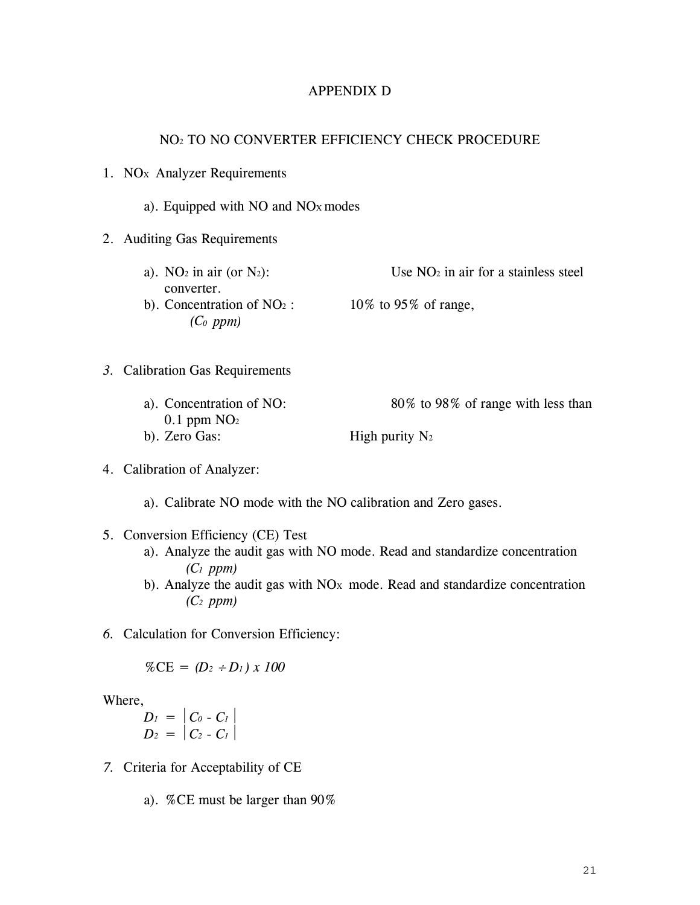#### APPENDIX D

#### NO2 TO NO CONVERTER EFFICIENCY CHECK PROCEDURE

#### 1. NO<sub>x</sub> Analyzer Requirements

#### a). Equipped with NO and NOX modes

#### 2. Auditing Gas Requirements

a). NO<sub>2</sub> in air (or N<sub>2</sub>): Use NO<sub>2</sub> in air for a stainless steel converter. b). Concentration of  $NO<sub>2</sub>$ : 10% to 95% of range, *(C0 ppm)* 

# *3.* Calibration Gas Requirements

a). Concentration of NO: 80% to 98% of range with less than  $0.1$  ppm  $NO<sub>2</sub>$ b). Zero Gas: High purity  $N_2$ 

#### 4. Calibration of Analyzer:

a). Calibrate NO mode with the NO calibration and Zero gases.

#### 5. Conversion Efficiency (CE) Test

- a). Analyze the audit gas with NO mode. Read and standardize concentration *(C1 ppm)*
- b). Analyze the audit gas with  $NO_x$  mode. Read and standardize concentration *(C2 ppm)*
- *6.* Calculation for Conversion Efficiency:

$$
\%CE = (D_2 \div D_1) \times 100
$$

Where,

 $D_1 = |C_0 - C_1|$  $D_2 = |C_2 - C_1|$ 

- *7.* Criteria for Acceptability of CE
	- a). %CE must be larger than 90%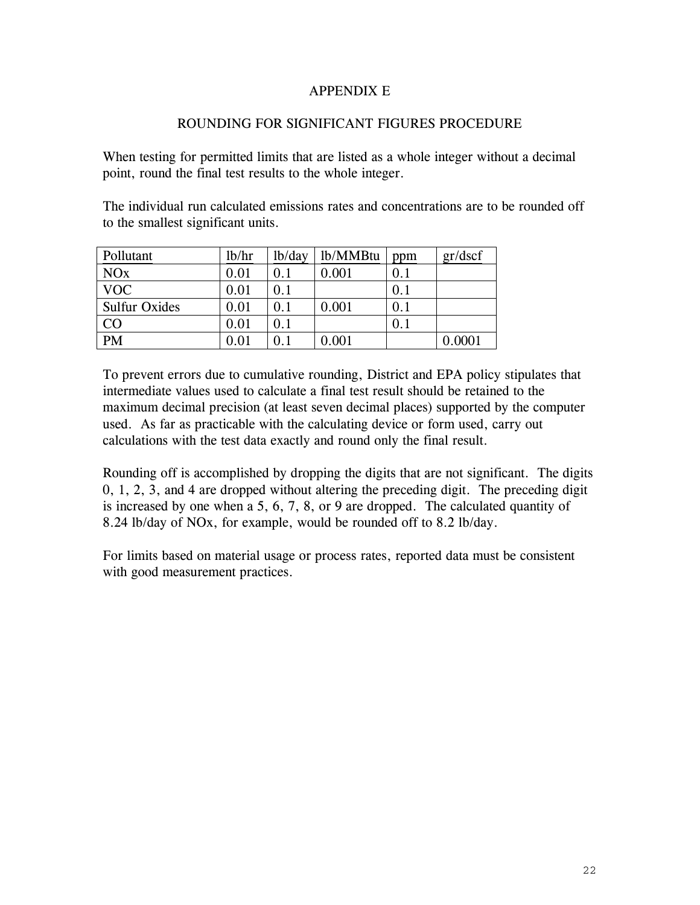# APPENDIX E

# ROUNDING FOR SIGNIFICANT FIGURES PROCEDURE

When testing for permitted limits that are listed as a whole integer without a decimal point, round the final test results to the whole integer.

The individual run calculated emissions rates and concentrations are to be rounded off to the smallest significant units.

| Pollutant             | lb/hr | lb/day  | lb/MMBtu  | ppm | gr/dscf |
|-----------------------|-------|---------|-----------|-----|---------|
| <b>NO<sub>x</sub></b> | 0.01  | 0.1     | $0.001\,$ | 0.1 |         |
| <b>VOC</b>            | 0.01  | $0.1\,$ |           | 0.1 |         |
| <b>Sulfur Oxides</b>  | 0.01  | $0.1\,$ | 0.001     | 0.1 |         |
| CO                    | 0.01  | 0.1     |           | 0.1 |         |
| <b>PM</b>             | 0.01  |         | 0.001     |     | 0.0001  |

To prevent errors due to cumulative rounding, District and EPA policy stipulates that intermediate values used to calculate a final test result should be retained to the maximum decimal precision (at least seven decimal places) supported by the computer used. As far as practicable with the calculating device or form used, carry out calculations with the test data exactly and round only the final result.

Rounding off is accomplished by dropping the digits that are not significant. The digits 0, 1, 2, 3, and 4 are dropped without altering the preceding digit. The preceding digit is increased by one when a 5, 6, 7, 8, or 9 are dropped. The calculated quantity of 8.24 lb/day of NOx, for example, would be rounded off to 8.2 lb/day.

For limits based on material usage or process rates, reported data must be consistent with good measurement practices.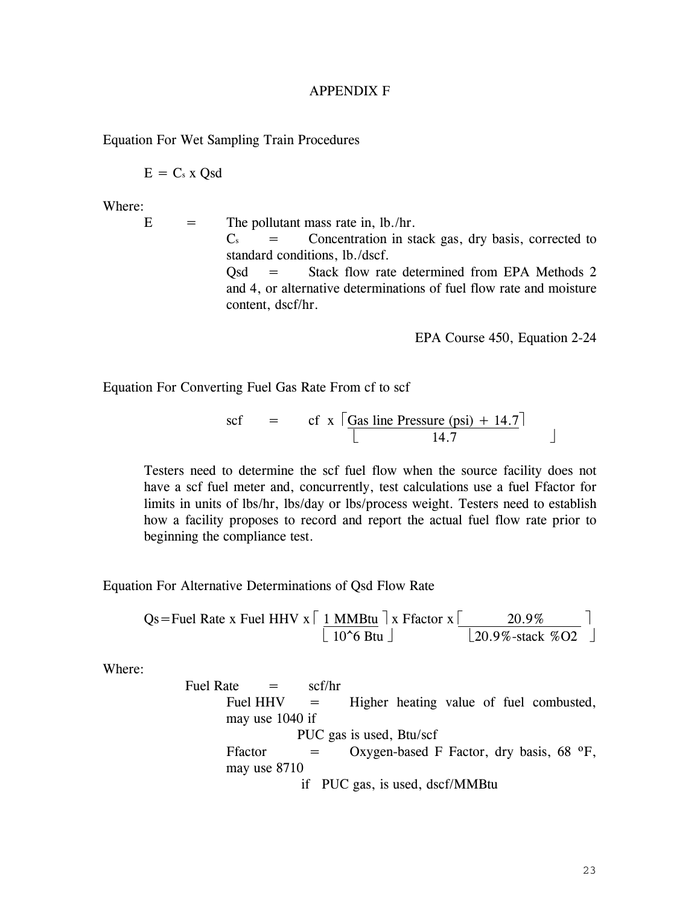#### APPENDIX F

Equation For Wet Sampling Train Procedures

$$
E = C_s x Qsd
$$

Where:

 $E =$  The pollutant mass rate in, lb./hr.  $C_s$  = Concentration in stack gas, dry basis, corrected to standard conditions, lb./dscf. Qsd = Stack flow rate determined from EPA Methods 2 and 4, or alternative determinations of fuel flow rate and moisture content, dscf/hr.

EPA Course 450, Equation 2-24

Equation For Converting Fuel Gas Rate From cf to scf

$$
\text{scf} = \text{cf} \times \left[ \frac{\text{Gas line Pressure (psi)} + 14.7}{14.7} \right]
$$

Testers need to determine the scf fuel flow when the source facility does not have a scf fuel meter and, concurrently, test calculations use a fuel Ffactor for limits in units of lbs/hr, lbs/day or lbs/process weight. Testers need to establish how a facility proposes to record and report the actual fuel flow rate prior to beginning the compliance test.

Equation For Alternative Determinations of Qsd Flow Rate

$$
Qs = \text{Fuel Rate x Fuel HHV x} \left[ \frac{1 \text{ MMBtu}}{10^6 \text{ Btu}} \right] x \text{ Ffactor x} \left[ \frac{20.9\%}{20.9\% \text{ stack } \% \text{ O2}} \right]
$$

Where:

Fuel Rate  $=$  scf/hr Fuel  $HHV = Higher$  heating value of fuel combusted, may use 1040 if PUC gas is used, Btu/scf Ffactor  $=$  Oxygen-based F Factor, dry basis, 68  $\textdegree$ F, may use 8710 if PUC gas, is used, dscf/MMBtu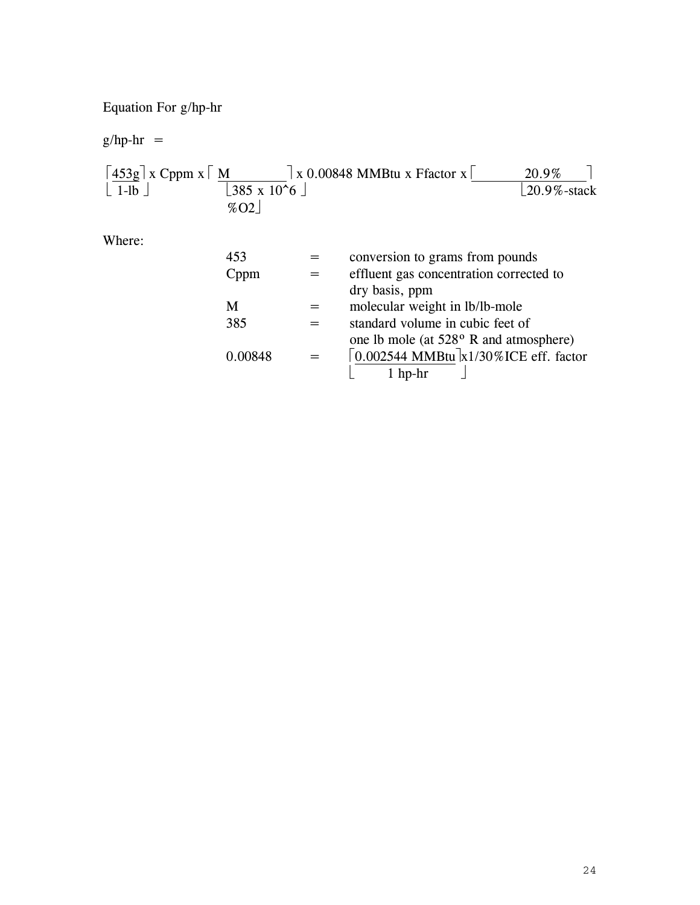Equation For g/hp-hr

 $g/hp-hr =$ 

| $ 453g $ x Cppm x $\lceil M \rceil$<br>$\lfloor 1-lb \rfloor$ | $\lfloor 385 \times 10^{\circ} 6 \rfloor$<br>%02 | $\vert x\vert$ 0.00848 MMBtu x Ffactor x $\vert$                                             | 20.9%<br>$20.9\%$ -stack |
|---------------------------------------------------------------|--------------------------------------------------|----------------------------------------------------------------------------------------------|--------------------------|
| Where:                                                        |                                                  |                                                                                              |                          |
|                                                               | 453                                              | conversion to grams from pounds                                                              |                          |
|                                                               | Cppm                                             | effluent gas concentration corrected to<br>dry basis, ppm                                    |                          |
|                                                               | M                                                | molecular weight in lb/lb-mole                                                               |                          |
|                                                               | 385                                              | standard volume in cubic feet of<br>one lb mole (at 528 <sup>o</sup> R and atmosphere)       |                          |
|                                                               | 0.00848                                          | $\lceil 0.002544 \text{ MMBtu} \rceil_{\text{X}} 1/30\% \text{ICE eff. factor}$<br>$1$ hp-hr |                          |